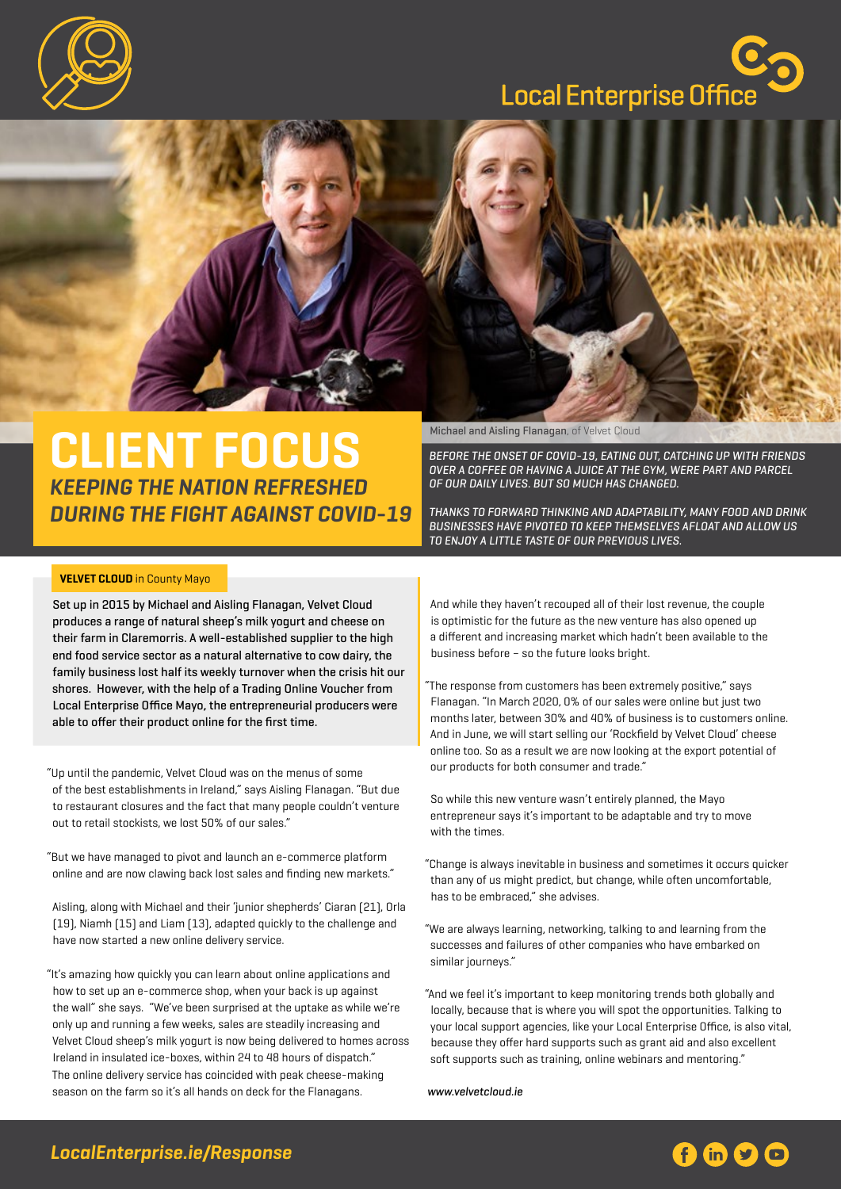

# Local Enterprise Office



## **CLIENT FOCUS** *KEEPING THE NATION REFRESHED DURING THE FIGHT AGAINST COVID-19*

### **VELVET CLOUD** in County Mayo

Set up in 2015 by Michael and Aisling Flanagan, Velvet Cloud produces a range of natural sheep's milk yogurt and cheese on their farm in Claremorris. A well-established supplier to the high end food service sector as a natural alternative to cow dairy, the family business lost half its weekly turnover when the crisis hit our shores. However, with the help of a Trading Online Voucher from Local Enterprise Office Mayo, the entrepreneurial producers were able to offer their product online for the first time.

"Up until the pandemic, Velvet Cloud was on the menus of some of the best establishments in Ireland," says Aisling Flanagan. "But due to restaurant closures and the fact that many people couldn't venture out to retail stockists, we lost 50% of our sales."

"But we have managed to pivot and launch an e-commerce platform online and are now clawing back lost sales and finding new markets."

Aisling, along with Michael and their 'junior shepherds' Ciaran (21), Orla (19), Niamh (15) and Liam (13), adapted quickly to the challenge and have now started a new online delivery service.

"It's amazing how quickly you can learn about online applications and how to set up an e-commerce shop, when your back is up against the wall" she says. "We've been surprised at the uptake as while we're only up and running a few weeks, sales are steadily increasing and Velvet Cloud sheep's milk yogurt is now being delivered to homes across Ireland in insulated ice-boxes, within 24 to 48 hours of dispatch." The online delivery service has coincided with peak cheese-making season on the farm so it's all hands on deck for the Flanagans.

Michael and Aisling Flanagan, of Velvet Cloud

BEFORE THE ONSET OF COVID-19, EATING OUT, CATCHING UP WITH FRIENDS OVER A COFFEE OR HAVING A JUICE AT THE GYM, WERE PART AND PARCEL OF OUR DAILY LIVES. BUT SO MUCH HAS CHANGED.

THANKS TO FORWARD THINKING AND ADAPTABILITY, MANY FOOD AND DRINK BUSINESSES HAVE PIVOTED TO KEEP THEMSELVES AFLOAT AND ALLOW US TO ENJOY A LITTLE TASTE OF OUR PREVIOUS LIVES.

And while they haven't recouped all of their lost revenue, the couple is optimistic for the future as the new venture has also opened up a different and increasing market which hadn't been available to the business before – so the future looks bright.

"The response from customers has been extremely positive," says Flanagan. "In March 2020, 0% of our sales were online but just two months later, between 30% and 40% of business is to customers online. And in June, we will start selling our 'Rockfield by Velvet Cloud' cheese online too. So as a result we are now looking at the export potential of our products for both consumer and trade."

So while this new venture wasn't entirely planned, the Mayo entrepreneur says it's important to be adaptable and try to move with the times.

- "Change is always inevitable in business and sometimes it occurs quicker than any of us might predict, but change, while often uncomfortable, has to be embraced," she advises.
- "We are always learning, networking, talking to and learning from the successes and failures of other companies who have embarked on similar journeys."
- "And we feel it's important to keep monitoring trends both globally and locally, because that is where you will spot the opportunities. Talking to your local support agencies, like your Local Enterprise Office, is also vital, because they offer hard supports such as grant aid and also excellent [soft supports such as training, online webinars and mentoring."](www.velvetcloud.ie)

<www.velvetcloud.ie>

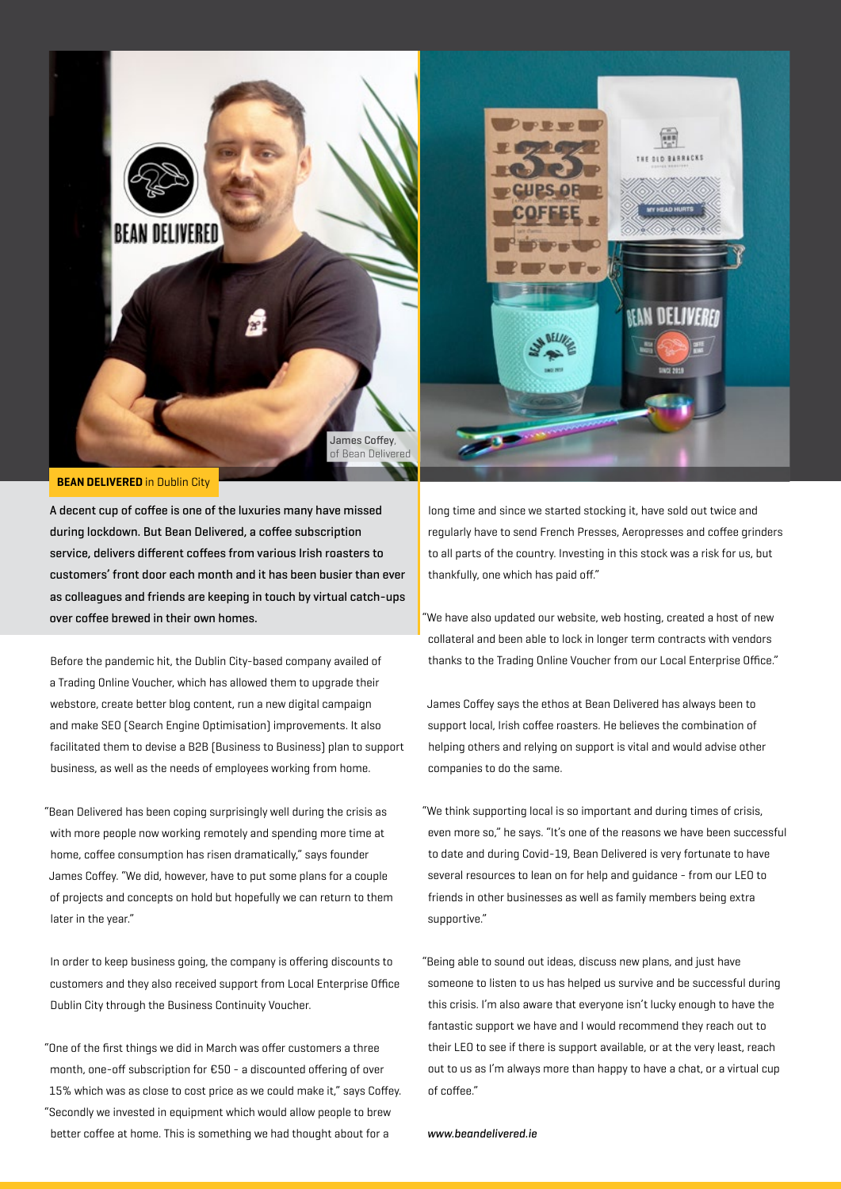

#### **BEAN DELIVERED** in Dublin City

A decent cup of coffee is one of the luxuries many have missed during lockdown. But Bean Delivered, a coffee subscription service, delivers different coffees from various Irish roasters to customers' front door each month and it has been busier than ever as colleagues and friends are keeping in touch by virtual catch-ups over coffee brewed in their own homes.

Before the pandemic hit, the Dublin City-based company availed of a Trading Online Voucher, which has allowed them to upgrade their webstore, create better blog content, run a new digital campaign and make SEO (Search Engine Optimisation) improvements. It also facilitated them to devise a B2B (Business to Business) plan to support business, as well as the needs of employees working from home.

"Bean Delivered has been coping surprisingly well during the crisis as with more people now working remotely and spending more time at home, coffee consumption has risen dramatically," says founder James Coffey. "We did, however, have to put some plans for a couple of projects and concepts on hold but hopefully we can return to them later in the year."

In order to keep business going, the company is offering discounts to customers and they also received support from Local Enterprise Office Dublin City through the Business Continuity Voucher.

"One of the first things we did in March was offer customers a three month, one-off subscription for €50 - a discounted offering of over 15% which was as close to cost price as we could make it," says Coffey. "Secondly we invested in equipment which would allow people to brew better coffee at home. This is something we had thought about for a

long time and since we started stocking it, have sold out twice and regularly have to send French Presses, Aeropresses and coffee grinders to all parts of the country. Investing in this stock was a risk for us, but thankfully, one which has paid off."

"We have also updated our website, web hosting, created a host of new collateral and been able to lock in longer term contracts with vendors thanks to the Trading Online Voucher from our Local Enterprise Office."

James Coffey says the ethos at Bean Delivered has always been to support local, Irish coffee roasters. He believes the combination of helping others and relying on support is vital and would advise other companies to do the same.

"We think supporting local is so important and during times of crisis, even more so," he says. "It's one of the reasons we have been successful to date and during Covid-19, Bean Delivered is very fortunate to have several resources to lean on for help and guidance - from our LEO to friends in other businesses as well as family members being extra supportive."

"Being able to sound out ideas, discuss new plans, and just have someone to listen to us has helped us survive and be successful during this crisis. I'm also aware that everyone isn't lucky enough to have the fantastic support we have and I would recommend they reach out to their LEO to see if there is support available, or at the very least, reach out to us as I'm always more than happy to have a chat, or a virtual cup of coffee."

[www.beandelivered.ie](http://beandelivered.ie)